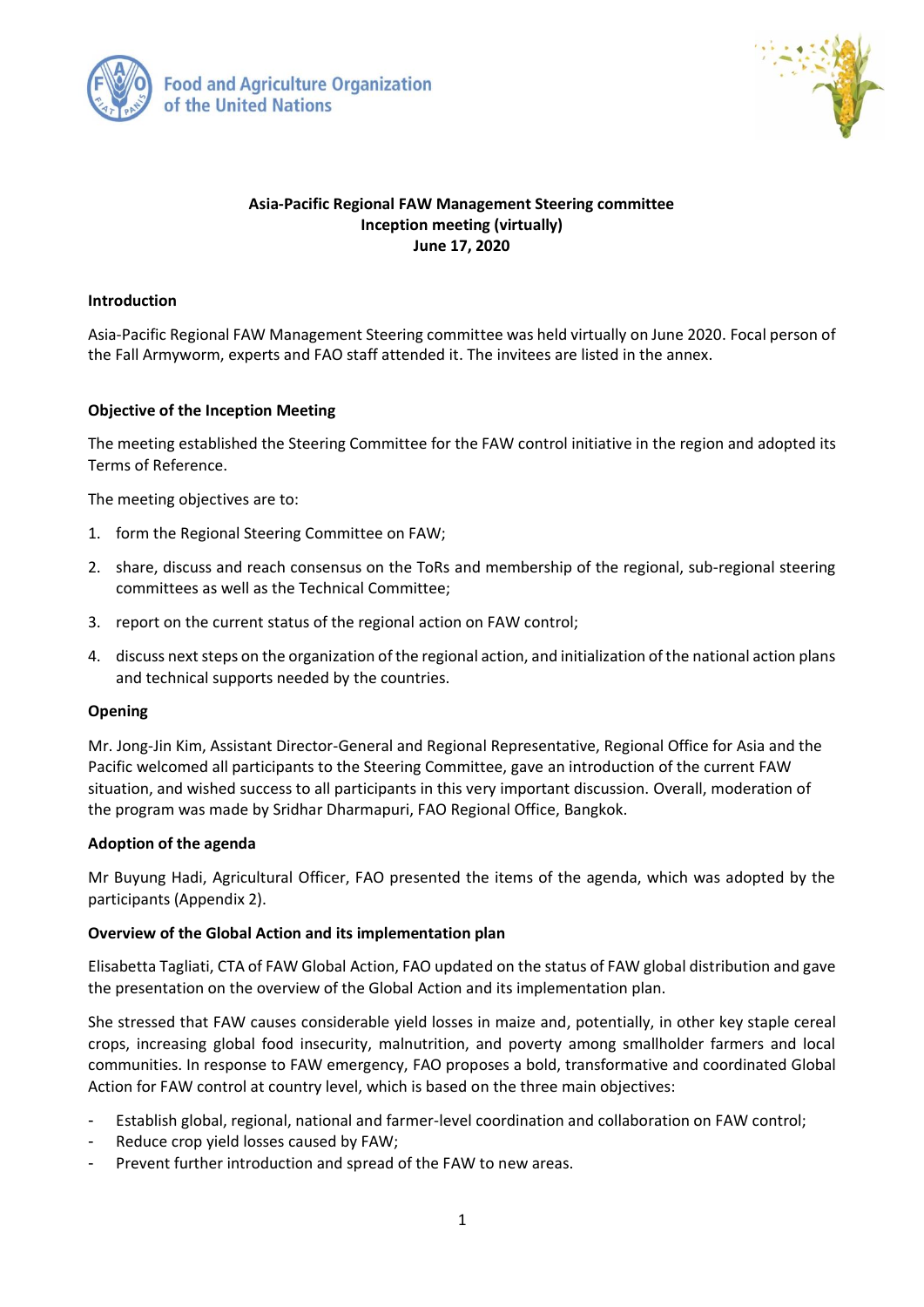



## **Asia-Pacific Regional FAW Management Steering committee Inception meeting (virtually) June 17, 2020**

#### **Introduction**

Asia-Pacific Regional FAW Management Steering committee was held virtually on June 2020. Focal person of the Fall Armyworm, experts and FAO staff attended it. The invitees are listed in the annex.

### **Objective of the Inception Meeting**

The meeting established the Steering Committee for the FAW control initiative in the region and adopted its Terms of Reference.

The meeting objectives are to:

- 1. form the Regional Steering Committee on FAW;
- 2. share, discuss and reach consensus on the ToRs and membership of the regional, sub-regional steering committees as well as the Technical Committee;
- 3. report on the current status of the regional action on FAW control;
- 4. discuss next steps on the organization of the regional action, and initialization of the national action plans and technical supports needed by the countries.

#### **Opening**

Mr. Jong-Jin Kim, Assistant Director-General and Regional Representative, Regional Office for Asia and the Pacific welcomed all participants to the Steering Committee, gave an introduction of the current FAW situation, and wished success to all participants in this very important discussion. Overall, moderation of the program was made by Sridhar Dharmapuri, FAO Regional Office, Bangkok.

#### **Adoption of the agenda**

Mr Buyung Hadi, Agricultural Officer, FAO presented the items of the agenda, which was adopted by the participants (Appendix 2).

#### **Overview of the Global Action and its implementation plan**

Elisabetta Tagliati, CTA of FAW Global Action, FAO updated on the status of FAW global distribution and gave the presentation on the overview of the Global Action and its implementation plan.

She stressed that FAW causes considerable yield losses in maize and, potentially, in other key staple cereal crops, increasing global food insecurity, malnutrition, and poverty among smallholder farmers and local communities. In response to FAW emergency, FAO proposes a bold, transformative and coordinated Global Action for FAW control at country level, which is based on the three main objectives:

- Establish global, regional, national and farmer-level coordination and collaboration on FAW control;
- Reduce crop yield losses caused by FAW;
- Prevent further introduction and spread of the FAW to new areas.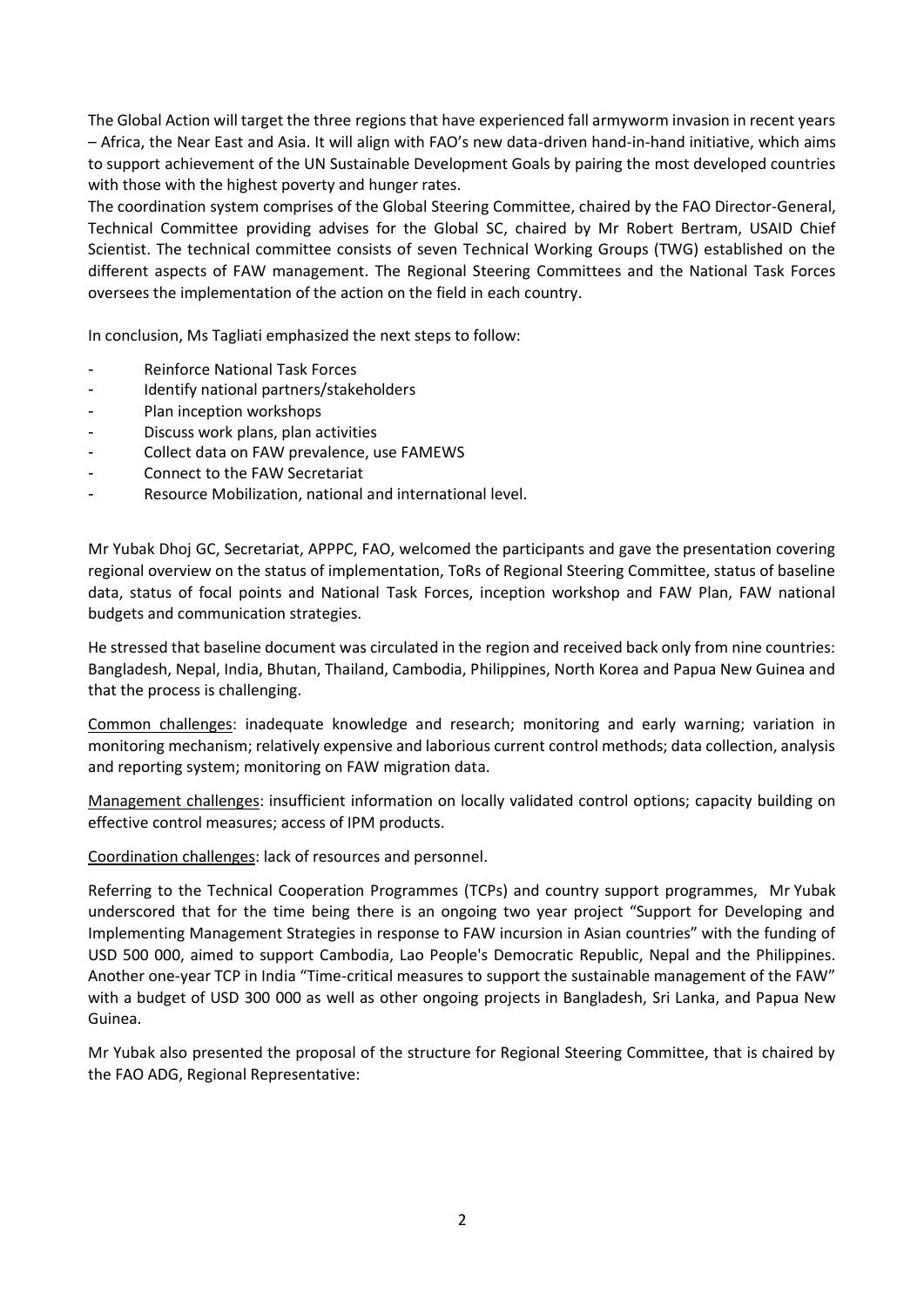The Global Action will target the three regions that have experienced fall armyworm invasion in recent years – Africa, the Near East and Asia. It will align with FAO's new data-driven hand-in-hand initiative, which aims to support achievement of the UN Sustainable Development Goals by pairing the most developed countries with those with the highest poverty and hunger rates.

The coordination system comprises of the Global Steering Committee, chaired by the FAO Director-General, Technical Committee providing advises for the Global SC, chaired by Mr Robert Bertram, USAID Chief Scientist. The technical committee consists of seven Technical Working Groups (TWG) established on the different aspects of FAW management. The Regional Steering Committees and the National Task Forces oversees the implementation of the action on the field in each country.

In conclusion, Ms Tagliati emphasized the next steps to follow:

- Reinforce National Task Forces
- Identify national partners/stakeholders
- Plan inception workshops
- Discuss work plans, plan activities
- Collect data on FAW prevalence, use FAMEWS
- Connect to the FAW Secretariat
- Resource Mobilization, national and international level.

Mr Yubak Dhoj GC, Secretariat, APPPC, FAO, welcomed the participants and gave the presentation covering regional overview on the status of implementation, ToRs of Regional Steering Committee, status of baseline data, status of focal points and National Task Forces, inception workshop and FAW Plan, FAW national budgets and communication strategies.

He stressed that baseline document was circulated in the region and received back only from nine countries: Bangladesh, Nepal, India, Bhutan, Thailand, Cambodia, Philippines, North Korea and Papua New Guinea and that the process is challenging.

Common challenges: inadequate knowledge and research; monitoring and early warning; variation in monitoring mechanism; relatively expensive and laborious current control methods; data collection, analysis and reporting system; monitoring on FAW migration data.

Management challenges: insufficient information on locally validated control options; capacity building on effective control measures; access of IPM products.

Coordination challenges: lack of resources and personnel.

Referring to the Technical Cooperation Programmes (TCPs) and country support programmes, Mr Yubak underscored that for the time being there is an ongoing two year project "Support for Developing and Implementing Management Strategies in response to FAW incursion in Asian countries" with the funding of USD 500 000, aimed to support Cambodia, Lao People's Democratic Republic, Nepal and the Philippines. Another one-year TCP in India "Time-critical measures to support the sustainable management of the FAW" with a budget of USD 300 000 as well as other ongoing projects in Bangladesh, Sri Lanka, and Papua New Guinea.

Mr Yubak also presented the proposal of the structure for Regional Steering Committee, that is chaired by the FAO ADG, Regional Representative: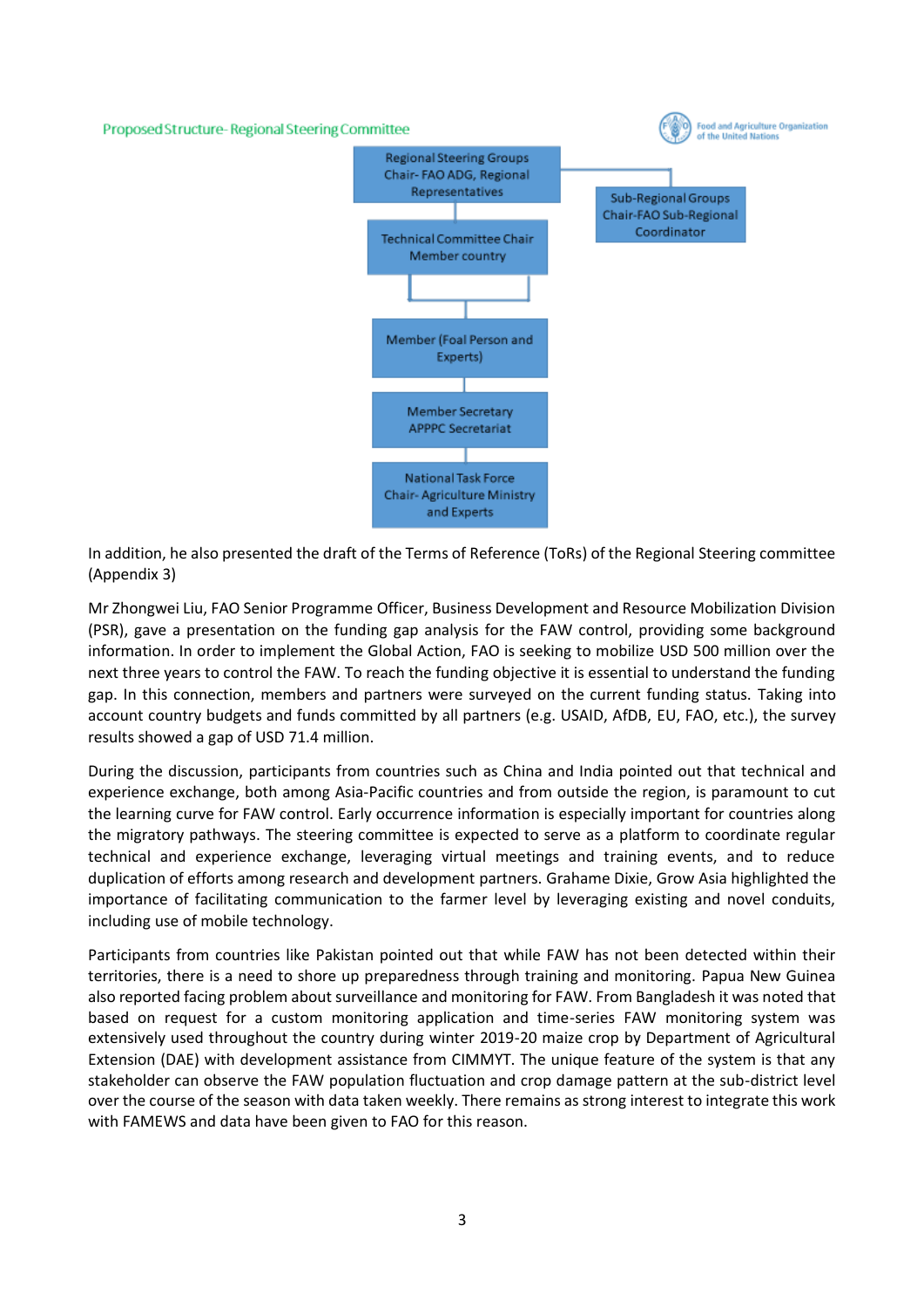Proposed Structure-Regional Steering Committee



In addition, he also presented the draft of the Terms of Reference (ToRs) of the Regional Steering committee (Appendix 3)

Mr Zhongwei Liu, FAO Senior Programme Officer, Business Development and Resource Mobilization Division (PSR), gave a presentation on the funding gap analysis for the FAW control, providing some background information. In order to implement the Global Action, FAO is seeking to mobilize USD 500 million over the next three years to control the FAW. To reach the funding objective it is essential to understand the funding gap. In this connection, members and partners were surveyed on the current funding status. Taking into account country budgets and funds committed by all partners (e.g. USAID, AfDB, EU, FAO, etc.), the survey results showed a gap of USD 71.4 million.

During the discussion, participants from countries such as China and India pointed out that technical and experience exchange, both among Asia-Pacific countries and from outside the region, is paramount to cut the learning curve for FAW control. Early occurrence information is especially important for countries along the migratory pathways. The steering committee is expected to serve as a platform to coordinate regular technical and experience exchange, leveraging virtual meetings and training events, and to reduce duplication of efforts among research and development partners. Grahame Dixie, Grow Asia highlighted the importance of facilitating communication to the farmer level by leveraging existing and novel conduits, including use of mobile technology.

Participants from countries like Pakistan pointed out that while FAW has not been detected within their territories, there is a need to shore up preparedness through training and monitoring. Papua New Guinea also reported facing problem about surveillance and monitoring for FAW. From Bangladesh it was noted that based on request for a custom monitoring application and time-series FAW monitoring system was extensively used throughout the country during winter 2019-20 maize crop by Department of Agricultural Extension (DAE) with development assistance from CIMMYT. The unique feature of the system is that any stakeholder can observe the FAW population fluctuation and crop damage pattern at the sub-district level over the course of the season with data taken weekly. There remains as strong interest to integrate this work with FAMEWS and data have been given to FAO for this reason.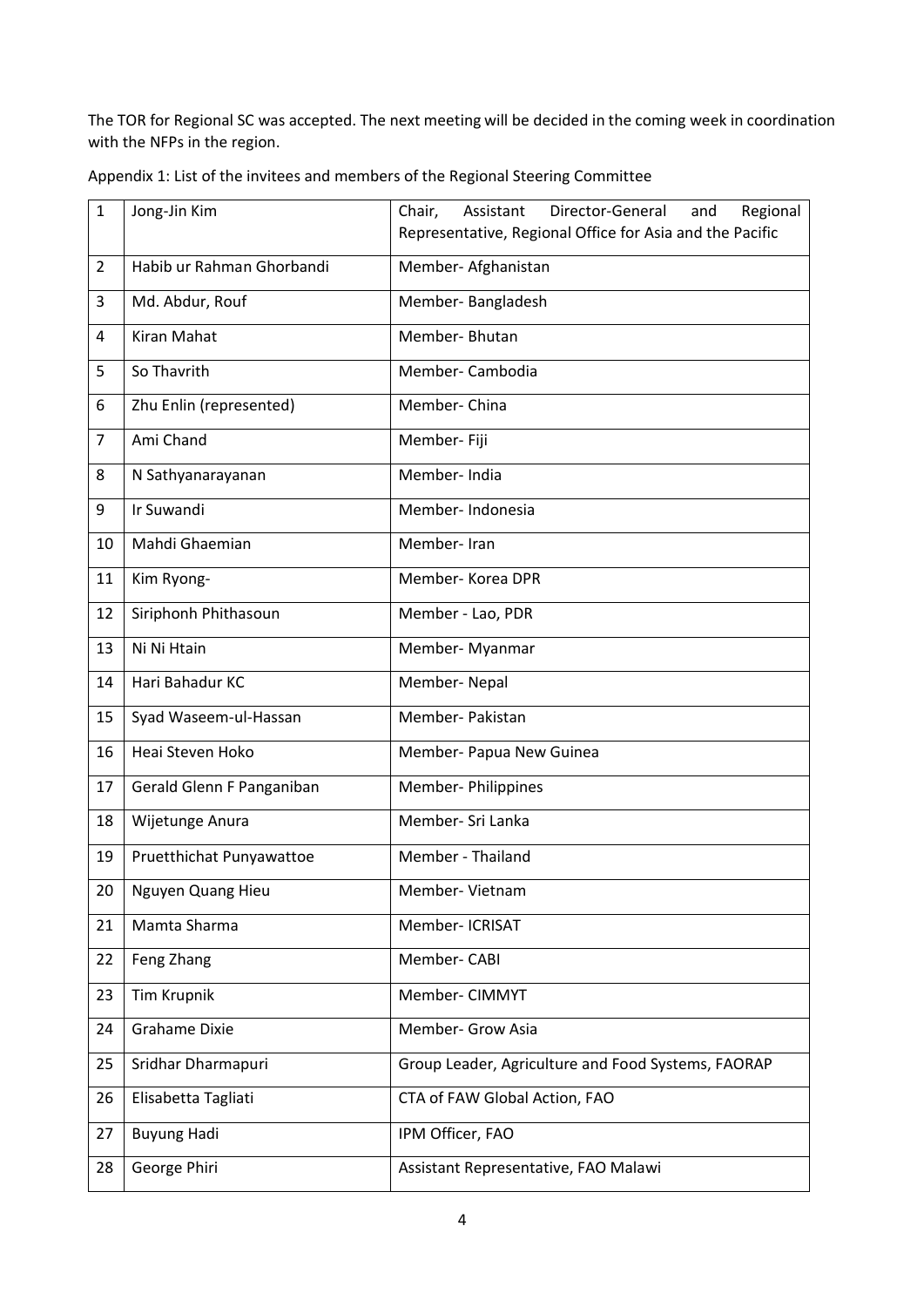The TOR for Regional SC was accepted. The next meeting will be decided in the coming week in coordination with the NFPs in the region.

| $\mathbf{1}$   | Jong-Jin Kim              | Regional<br>Chair,<br>Assistant<br>Director-General<br>and |  |
|----------------|---------------------------|------------------------------------------------------------|--|
|                |                           | Representative, Regional Office for Asia and the Pacific   |  |
| $\overline{2}$ | Habib ur Rahman Ghorbandi | Member- Afghanistan                                        |  |
| 3              | Md. Abdur, Rouf           | Member-Bangladesh                                          |  |
| 4              | Kiran Mahat               | Member-Bhutan                                              |  |
| 5              | So Thavrith               | Member-Cambodia                                            |  |
| 6              | Zhu Enlin (represented)   | Member-China                                               |  |
| $\overline{7}$ | Ami Chand                 | Member- Fiji                                               |  |
| 8              | N Sathyanarayanan         | Member-India                                               |  |
| 9              | Ir Suwandi                | Member-Indonesia                                           |  |
| 10             | Mahdi Ghaemian            | Member-Iran                                                |  |
| 11             | Kim Ryong-                | Member-Korea DPR                                           |  |
| 12             | Siriphonh Phithasoun      | Member - Lao, PDR                                          |  |
| 13             | Ni Ni Htain               | Member- Myanmar                                            |  |
| 14             | Hari Bahadur KC           | Member-Nepal                                               |  |
| 15             | Syad Waseem-ul-Hassan     | Member- Pakistan                                           |  |
| 16             | Heai Steven Hoko          | Member- Papua New Guinea                                   |  |
| 17             | Gerald Glenn F Panganiban | <b>Member-Philippines</b>                                  |  |
| 18             | Wijetunge Anura           | Member- Sri Lanka                                          |  |
| 19             | Pruetthichat Punyawattoe  | Member - Thailand                                          |  |
| 20             | Nguyen Quang Hieu         | Member- Vietnam                                            |  |
| 21             | Mamta Sharma              | Member- ICRISAT                                            |  |
| 22             | Feng Zhang                | Member-CABI                                                |  |
| 23             | <b>Tim Krupnik</b>        | Member- CIMMYT                                             |  |
| 24             | Grahame Dixie             | Member- Grow Asia                                          |  |
| 25             | Sridhar Dharmapuri        | Group Leader, Agriculture and Food Systems, FAORAP         |  |
| 26             | Elisabetta Tagliati       | CTA of FAW Global Action, FAO                              |  |
| 27             | <b>Buyung Hadi</b>        | IPM Officer, FAO                                           |  |
| 28             | George Phiri              | Assistant Representative, FAO Malawi                       |  |

Appendix 1: List of the invitees and members of the Regional Steering Committee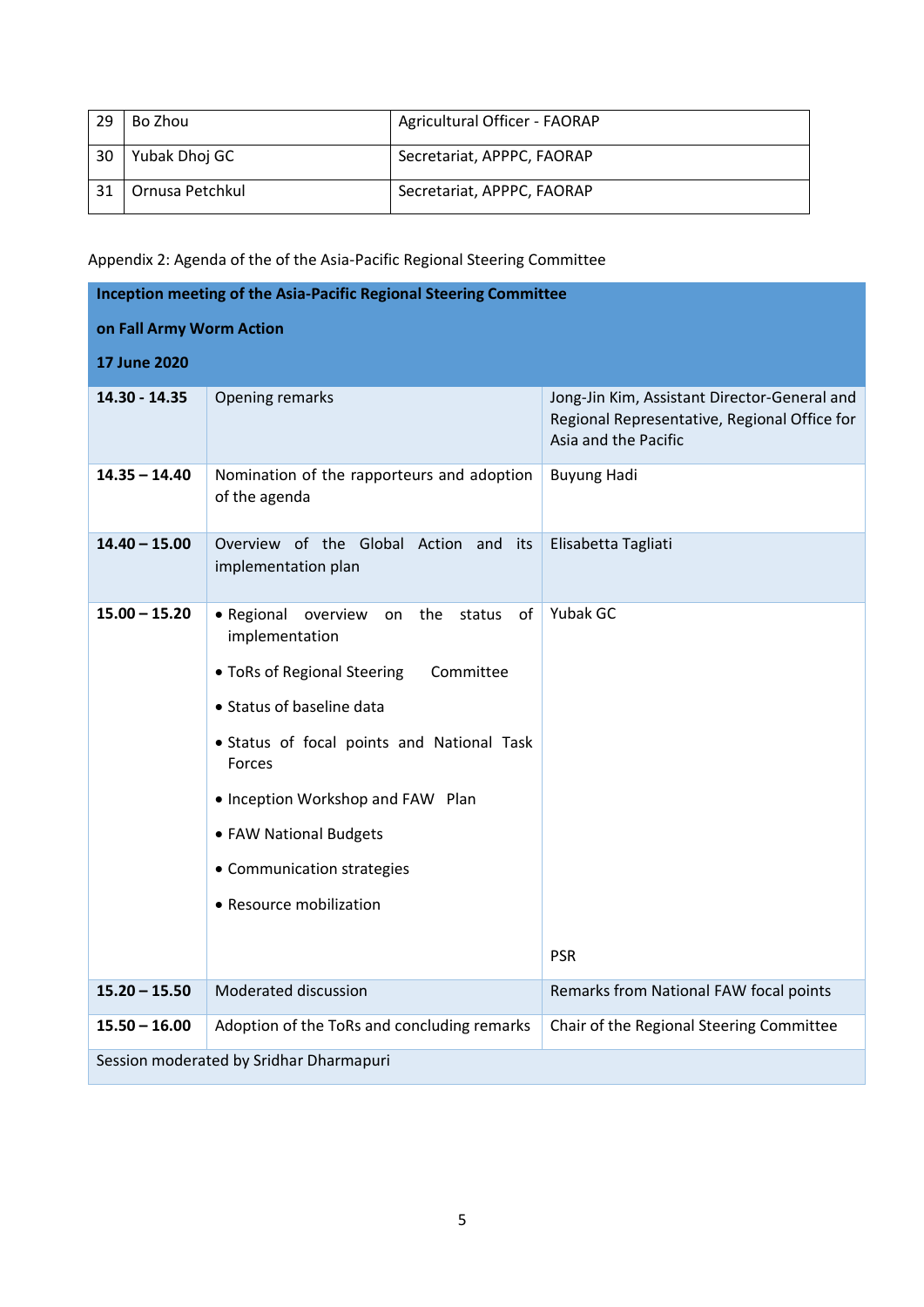| -29 | Bo Zhou         | Agricultural Officer - FAORAP |
|-----|-----------------|-------------------------------|
| 30  | Yubak Dhoj GC   | Secretariat, APPPC, FAORAP    |
| 31  | Ornusa Petchkul | Secretariat, APPPC, FAORAP    |

# Appendix 2: Agenda of the of the Asia-Pacific Regional Steering Committee

| Inception meeting of the Asia-Pacific Regional Steering Committee |                                                                                                                                                                                                                                                                                                                       |                                                                                                                      |  |  |  |
|-------------------------------------------------------------------|-----------------------------------------------------------------------------------------------------------------------------------------------------------------------------------------------------------------------------------------------------------------------------------------------------------------------|----------------------------------------------------------------------------------------------------------------------|--|--|--|
| on Fall Army Worm Action                                          |                                                                                                                                                                                                                                                                                                                       |                                                                                                                      |  |  |  |
| <b>17 June 2020</b>                                               |                                                                                                                                                                                                                                                                                                                       |                                                                                                                      |  |  |  |
| 14.30 - 14.35                                                     | Opening remarks                                                                                                                                                                                                                                                                                                       | Jong-Jin Kim, Assistant Director-General and<br>Regional Representative, Regional Office for<br>Asia and the Pacific |  |  |  |
| $14.35 - 14.40$                                                   | Nomination of the rapporteurs and adoption<br>of the agenda                                                                                                                                                                                                                                                           | <b>Buyung Hadi</b>                                                                                                   |  |  |  |
| $14.40 - 15.00$                                                   | Overview of the Global Action and its<br>implementation plan                                                                                                                                                                                                                                                          | Elisabetta Tagliati                                                                                                  |  |  |  |
| $15.00 - 15.20$                                                   | • Regional overview<br>the status of<br>on<br>implementation<br>• ToRs of Regional Steering<br>Committee<br>• Status of baseline data<br>· Status of focal points and National Task<br>Forces<br>• Inception Workshop and FAW Plan<br>• FAW National Budgets<br>• Communication strategies<br>• Resource mobilization | Yubak GC<br><b>PSR</b>                                                                                               |  |  |  |
| $15.20 - 15.50$                                                   | Moderated discussion                                                                                                                                                                                                                                                                                                  | Remarks from National FAW focal points                                                                               |  |  |  |
| $15.50 - 16.00$                                                   | Adoption of the ToRs and concluding remarks                                                                                                                                                                                                                                                                           | Chair of the Regional Steering Committee                                                                             |  |  |  |
| Session moderated by Sridhar Dharmapuri                           |                                                                                                                                                                                                                                                                                                                       |                                                                                                                      |  |  |  |